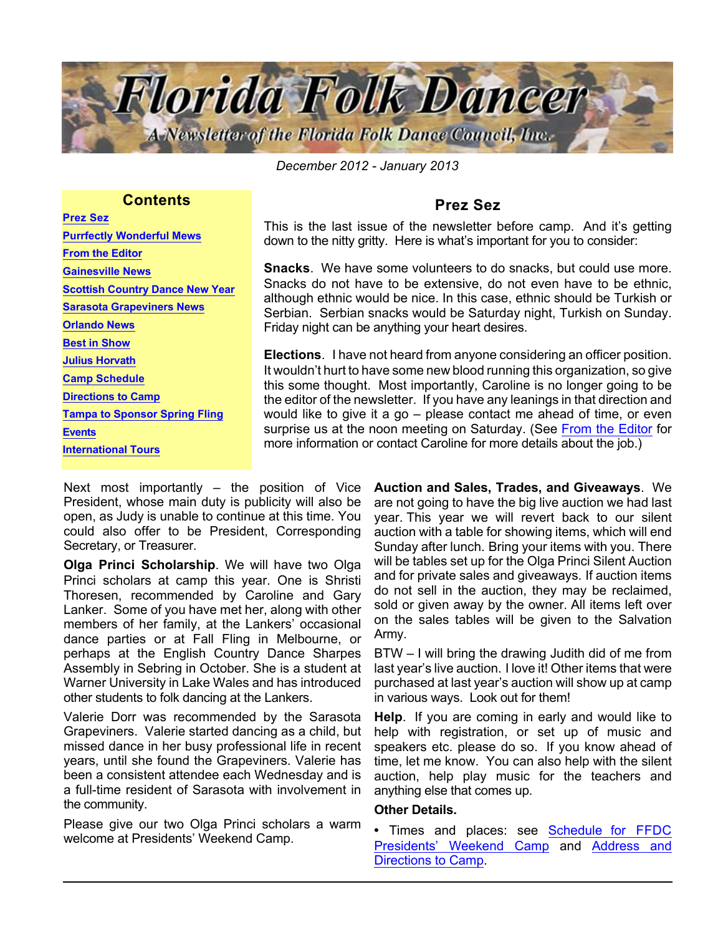

*December 2012 - January 2013*

### **Contents**

Prez Sez [Purrfectly Wonderful Mews](#page-1-0) [From the Editor](#page-1-0) [Gainesville News](#page-2-0) [Scottish Country Dance New Year](#page-3-0) [Sarasota Grapeviners News](#page-4-0) [Orlando News](#page-4-0) [Best in Show](#page-4-0) [Julius Horvath](#page-5-0) [Camp Schedule](#page-5-0) [Directions to Camp](#page-5-0) [Tampa to Sponsor Spring Fling](#page-6-0) **[Events](#page-6-0)** [International Tours](#page-7-0)

## Prez Sez

This is the last issue of the newsletter before camp. And it's getting down to the nitty gritty. Here is what's important for you to consider:

Snacks. We have some volunteers to do snacks, but could use more. Snacks do not have to be extensive, do not even have to be ethnic, although ethnic would be nice. In this case, ethnic should be Turkish or Serbian. Serbian snacks would be Saturday night, Turkish on Sunday. Friday night can be anything your heart desires.

Elections. I have not heard from anyone considering an officer position. It wouldn't hurt to have some new blood running this organization, so give this some thought. Most importantly, Caroline is no longer going to be the editor of the newsletter. If you have any leanings in that direction and would like to give it a go – please contact me ahead of time, or even surprise us at the noon meeting on Saturday. (See [From the Editor](#page-1-0) for more information or contact Caroline for more details about the job.)

Next most importantly – the position of Vice President, whose main duty is publicity will also be open, as Judy is unable to continue at this time. You could also offer to be President, Corresponding Secretary, or Treasurer.

Olga Princi Scholarship. We will have two Olga Princi scholars at camp this year. One is Shristi Thoresen, recommended by Caroline and Gary Lanker. Some of you have met her, along with other members of her family, at the Lankers' occasional dance parties or at Fall Fling in Melbourne, or perhaps at the English Country Dance Sharpes Assembly in Sebring in October. She is a student at Warner University in Lake Wales and has introduced other students to folk dancing at the Lankers.

Valerie Dorr was recommended by the Sarasota Grapeviners. Valerie started dancing as a child, but missed dance in her busy professional life in recent years, until she found the Grapeviners. Valerie has been a consistent attendee each Wednesday and is a full-time resident of Sarasota with involvement in the community.

Please give our two Olga Princi scholars a warm welcome at Presidents' Weekend Camp.

Auction and Sales, Trades, and Giveaways. We are not going to have the big live auction we had last year. This year we will revert back to our silent auction with a table for showing items, which will end Sunday after lunch. Bring your items with you. There will be tables set up for the Olga Princi Silent Auction and for private sales and giveaways. If auction items do not sell in the auction, they may be reclaimed, sold or given away by the owner. All items left over on the sales tables will be given to the Salvation Army.

BTW – I will bring the drawing Judith did of me from last year's live auction. I love it! Other items that were purchased at last year's auction will show up at camp in various ways. Look out for them!

Help. If you are coming in early and would like to help with registration, or set up of music and speakers etc. please do so. If you know ahead of time, let me know. You can also help with the silent auction, help play music for the teachers and anything else that comes up.

#### Other Details.

• Times and places: see [Schedule for](#page-5-0) FFDC [Presidents' Weekend Camp](#page-5-0) and [Address and](#page-5-0) [Directions to Camp.](#page-5-0)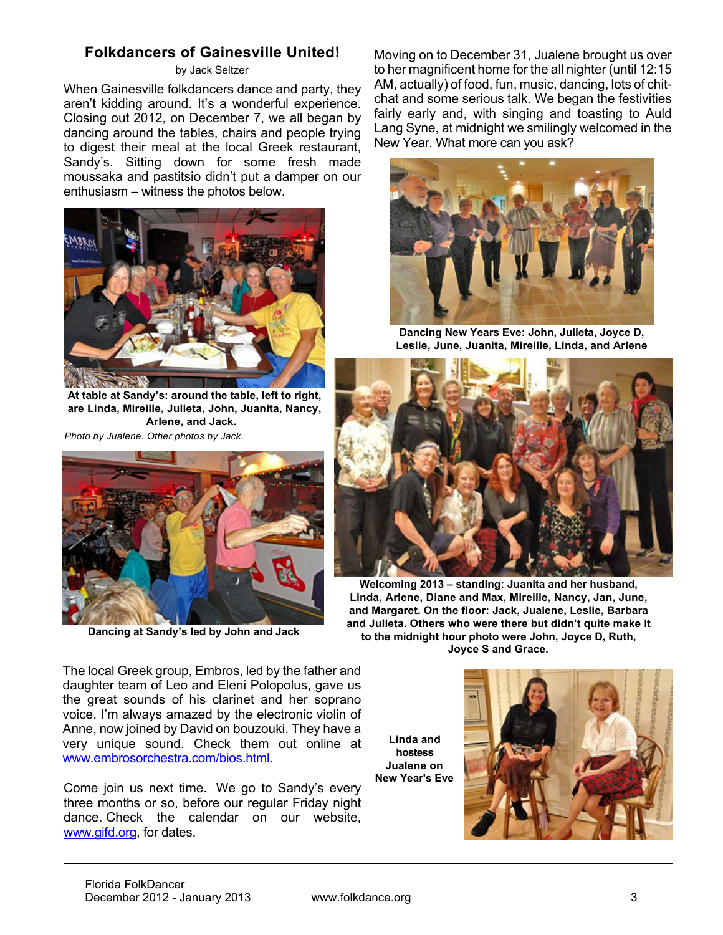# <span id="page-2-0"></span>Folkdancers of Gainesville United!

### by Jack Seltzer

When Gainesville folkdancers dance and party, they aren't kidding around. It's a wonderful experience. Closing out 2012, on December 7, we all began by dancing around the tables, chairs and people trying to digest their meal at the local Greek restaurant, Sandy's. Sitting down for some fresh made moussaka and pastitsio didn't put a damper on our enthusiasm – witness the photos below.



At table at Sandy's: around the table, left to right, are Linda, Mireille, Julieta, John, Juanita, Nancy, Arlene, and Jack.

*Photo by Jualene. Other photos by Jack.*



Dancing at Sandy's led by John and Jack

Moving on to December 31, Jualene brought us over to her magnificent home for the all nighter (until 12:15 AM, actually) of food, fun, music, dancing, lots of chitchat and some serious talk. We began the festivities fairly early and, with singing and toasting to Auld Lang Syne, at midnight we smilingly welcomed in the New Year. What more can you ask?



Dancing New Years Eve: John, Julieta, Joyce D, Leslie, June, Juanita, Mireille, Linda, and Arlene



Welcoming 2013 – standing: Juanita and her husband, Linda, Arlene, Diane and Max, Mireille, Nancy, Jan, June, and Margaret. On the floor: Jack, Jualene, Leslie, Barbara and Julieta. Others who were there but didn't quite make it to the midnight hour photo were John, Joyce D, Ruth, Joyce S and Grace.

The local Greek group, Embros, led by the father and daughter team of Leo and Eleni Polopolus, gave us the great sounds of his clarinet and her soprano voice. I'm always amazed by the electronic violin of Anne, now joined by David on bouzouki. They have a very unique sound. Check them out online at [www.embrosorchestra.com/bios.html](http://www.embrosorchestra.com/bios.html).

Come join us next time. We go to Sandy's every three months or so, before our regular Friday night dance. Check the calendar on our website, [www.gifd.org,](http://www.gifd.org) for dates.

Linda and hostess Jualene on New Year's Eve

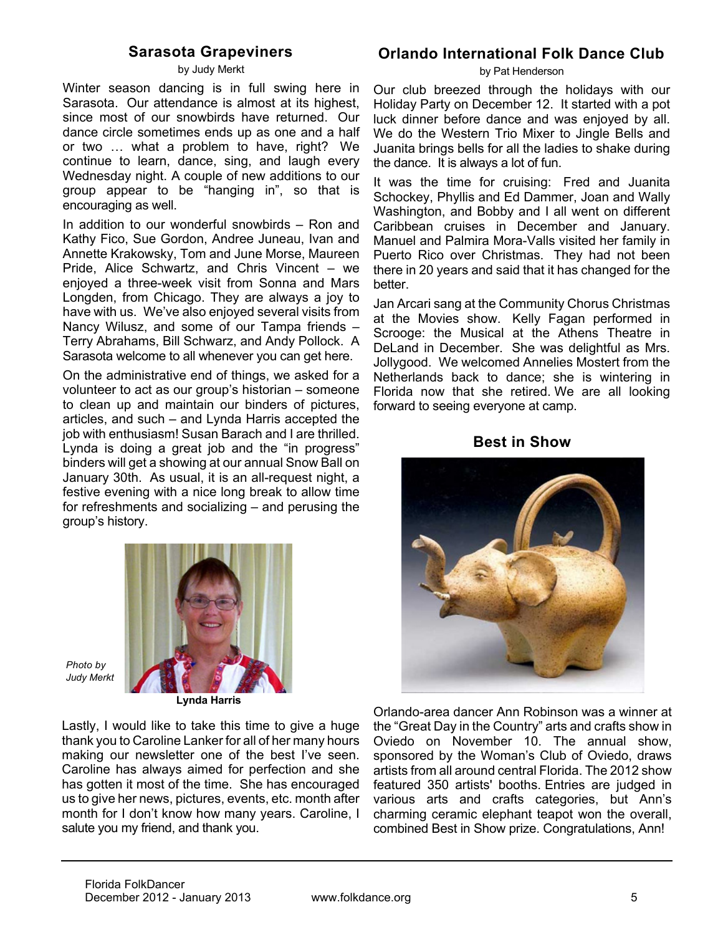# Sarasota Grapeviners

by Judy Merkt

<span id="page-4-0"></span>Winter season dancing is in full swing here in Sarasota. Our attendance is almost at its highest, since most of our snowbirds have returned. Our dance circle sometimes ends up as one and a half or two … what a problem to have, right? We continue to learn, dance, sing, and laugh every Wednesday night. A couple of new additions to our group appear to be "hanging in", so that is encouraging as well.

In addition to our wonderful snowbirds – Ron and Kathy Fico, Sue Gordon, Andree Juneau, Ivan and Annette Krakowsky, Tom and June Morse, Maureen Pride, Alice Schwartz, and Chris Vincent – we enjoyed a three-week visit from Sonna and Mars Longden, from Chicago. They are always a joy to have with us. We've also enjoyed several visits from Nancy Wilusz, and some of our Tampa friends – Terry Abrahams, Bill Schwarz, and Andy Pollock. A Sarasota welcome to all whenever you can get here.

On the administrative end of things, we asked for a volunteer to act as our group's historian – someone to clean up and maintain our binders of pictures, articles, and such – and Lynda Harris accepted the job with enthusiasm! Susan Barach and I are thrilled. Lynda is doing a great job and the "in progress" binders will get a showing at our annual Snow Ball on January 30th. As usual, it is an all-request night, a festive evening with a nice long break to allow time for refreshments and socializing – and perusing the group's history.



*Photo by Judy Merkt*

Lynda Harris

Lastly, I would like to take this time to give a huge thank you to Caroline Lanker for all of her many hours making our newsletter one of the best I've seen. Caroline has always aimed for perfection and she has gotten it most of the time. She has encouraged us to give her news, pictures, events, etc. month after month for I don't know how many years. Caroline, I salute you my friend, and thank you.

# Orlando International Folk Dance Club

by Pat Henderson

Our club breezed through the holidays with our Holiday Party on December 12. It started with a pot luck dinner before dance and was enjoyed by all. We do the Western Trio Mixer to Jingle Bells and Juanita brings bells for all the ladies to shake during the dance. It is always a lot of fun.

It was the time for cruising: Fred and Juanita Schockey, Phyllis and Ed Dammer, Joan and Wally Washington, and Bobby and I all went on different Caribbean cruises in December and January. Manuel and Palmira Mora-Valls visited her family in Puerto Rico over Christmas. They had not been there in 20 years and said that it has changed for the better.

Jan Arcari sang at the Community Chorus Christmas at the Movies show. Kelly Fagan performed in Scrooge: the Musical at the Athens Theatre in DeLand in December. She was delightful as Mrs. Jollygood. We welcomed Annelies Mostert from the Netherlands back to dance; she is wintering in Florida now that she retired. We are all looking forward to seeing everyone at camp.

Best in Show



Orlando-area dancer Ann Robinson was a winner at the "Great Day in the Country" arts and crafts show in Oviedo on November 10. The annual show, sponsored by the Woman's Club of Oviedo, draws artists from all around central Florida. The 2012 show featured 350 artists' booths. Entries are judged in various arts and crafts categories, but Ann's charming ceramic elephant teapot won the overall, combined Best in Show prize. Congratulations, Ann!